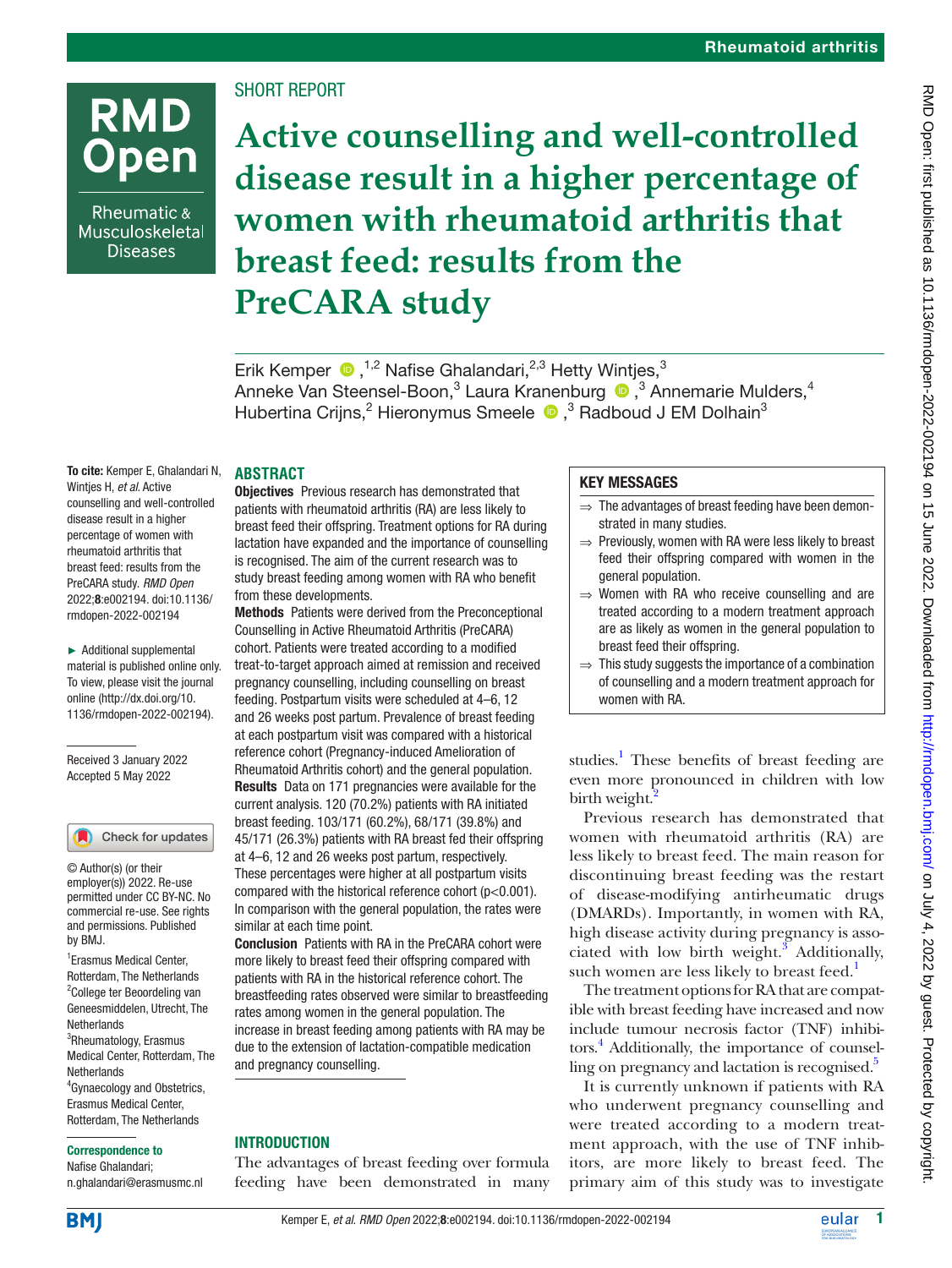# **RMD Open**

Rheumatic & Musculoskeletal **Diseases** 

# SHORT REPORT

**Active counselling and well-controlled disease result in a higher percentage of women with rheumatoid arthritis that breast feed: results from the PreCARA study**

ErikKemper  $\bullet$ ,<sup>1,2</sup> Nafise Ghalandari,<sup>2,3</sup> Hetty Wintjes,<sup>3</sup> AnnekeVan Steensel-Boon,<sup>3</sup> Laura Kranenburg <sup>no</sup>,<sup>3</sup> Annemarie Mulders,<sup>4</sup> Hubertina Crijns,<sup>2</sup> Hieronymus Smeele <sup>1</sup>, <sup>3</sup> Radboud J EM Dolhain<sup>3</sup>

To cite: Kemper E, Ghalandari N, Wintjes H, *et al*. Active counselling and well-controlled disease result in a higher percentage of women with rheumatoid arthritis that breast feed: results from the PreCARA study. *RMD Open* 2022;8:e002194. doi:10.1136/ rmdopen-2022-002194

► Additional supplemental material is published online only. To view, please visit the journal online ([http://dx.doi.org/10.](http://dx.doi.org/10.1136/rmdopen-2022-002194) [1136/rmdopen-2022-002194\)](http://dx.doi.org/10.1136/rmdopen-2022-002194).

Received 3 January 2022 Accepted 5 May 2022

#### Check for updates

© Author(s) (or their employer(s)) 2022. Re-use permitted under CC BY-NC. No commercial re-use. See rights and permissions. Published by BMJ.

1 Erasmus Medical Center, Rotterdam, The Netherlands 2 College ter Beoordeling van Geneesmiddelen, Utrecht, The Netherlands <sup>3</sup>Rheumatology, Erasmus Medical Center, Rotterdam, The **Netherlands** 4 Gynaecology and Obstetrics, Erasmus Medical Center, Rotterdam, The Netherlands

#### Correspondence to

Nafise Ghalandari; n.ghalandari@erasmusmc.nl

## **ABSTRACT**

**Objectives** Previous research has demonstrated that patients with rheumatoid arthritis (RA) are less likely to breast feed their offspring. Treatment options for RA during lactation have expanded and the importance of counselling is recognised. The aim of the current research was to study breast feeding among women with RA who benefit from these developments.

Methods Patients were derived from the Preconceptional Counselling in Active Rheumatoid Arthritis (PreCARA) cohort. Patients were treated according to a modified treat-to-target approach aimed at remission and received pregnancy counselling, including counselling on breast feeding. Postpartum visits were scheduled at 4–6, 12 and 26 weeks post partum. Prevalence of breast feeding at each postpartum visit was compared with a historical reference cohort (Pregnancy-induced Amelioration of Rheumatoid Arthritis cohort) and the general population. Results Data on 171 pregnancies were available for the current analysis. 120 (70.2%) patients with RA initiated breast feeding. 103/171 (60.2%), 68/171 (39.8%) and 45/171 (26.3%) patients with RA breast fed their offspring at 4–6, 12 and 26 weeks post partum, respectively. These percentages were higher at all postpartum visits compared with the historical reference cohort (p<0.001). In comparison with the general population, the rates were similar at each time point.

Conclusion Patients with RA in the PreCARA cohort were more likely to breast feed their offspring compared with patients with RA in the historical reference cohort. The breastfeeding rates observed were similar to breastfeeding rates among women in the general population. The increase in breast feeding among patients with RA may be due to the extension of lactation-compatible medication and pregnancy counselling.

## **INTRODUCTION**

The advantages of breast feeding over formula feeding have been demonstrated in many

## KEY MESSAGES

- $\Rightarrow$  The advantages of breast feeding have been demonstrated in many studies.
- ⇒ Previously, women with RA were less likely to breast feed their offspring compared with women in the general population.
- ⇒ Women with RA who receive counselling and are treated according to a modern treatment approach are as likely as women in the general population to breast feed their offspring.
- $\Rightarrow$  This study suggests the importance of a combination of counselling and a modern treatment approach for women with RA.

studies.<sup>1</sup> These benefits of breast feeding are even more pronounced in children with low birth weight.<sup>2</sup>

Previous research has demonstrated that women with rheumatoid arthritis (RA) are less likely to breast feed. The main reason for discontinuing breast feeding was the restart of disease-modifying antirheumatic drugs (DMARDs). Importantly, in women with RA, high disease activity during pregnancy is associated with low birth weight. $3$  Additionally, such women are less likely to breast feed.<sup>1</sup>

The treatment options for RA that are compatible with breast feeding have increased and now include tumour necrosis factor (TNF) inhibitors.<sup>4</sup> Additionally, the importance of counsel-ling on pregnancy and lactation is recognised.<sup>[5](#page-4-4)</sup>

It is currently unknown if patients with RA who underwent pregnancy counselling and were treated according to a modern treatment approach, with the use of TNF inhibitors, are more likely to breast feed. The primary aim of this study was to investigate

**BM**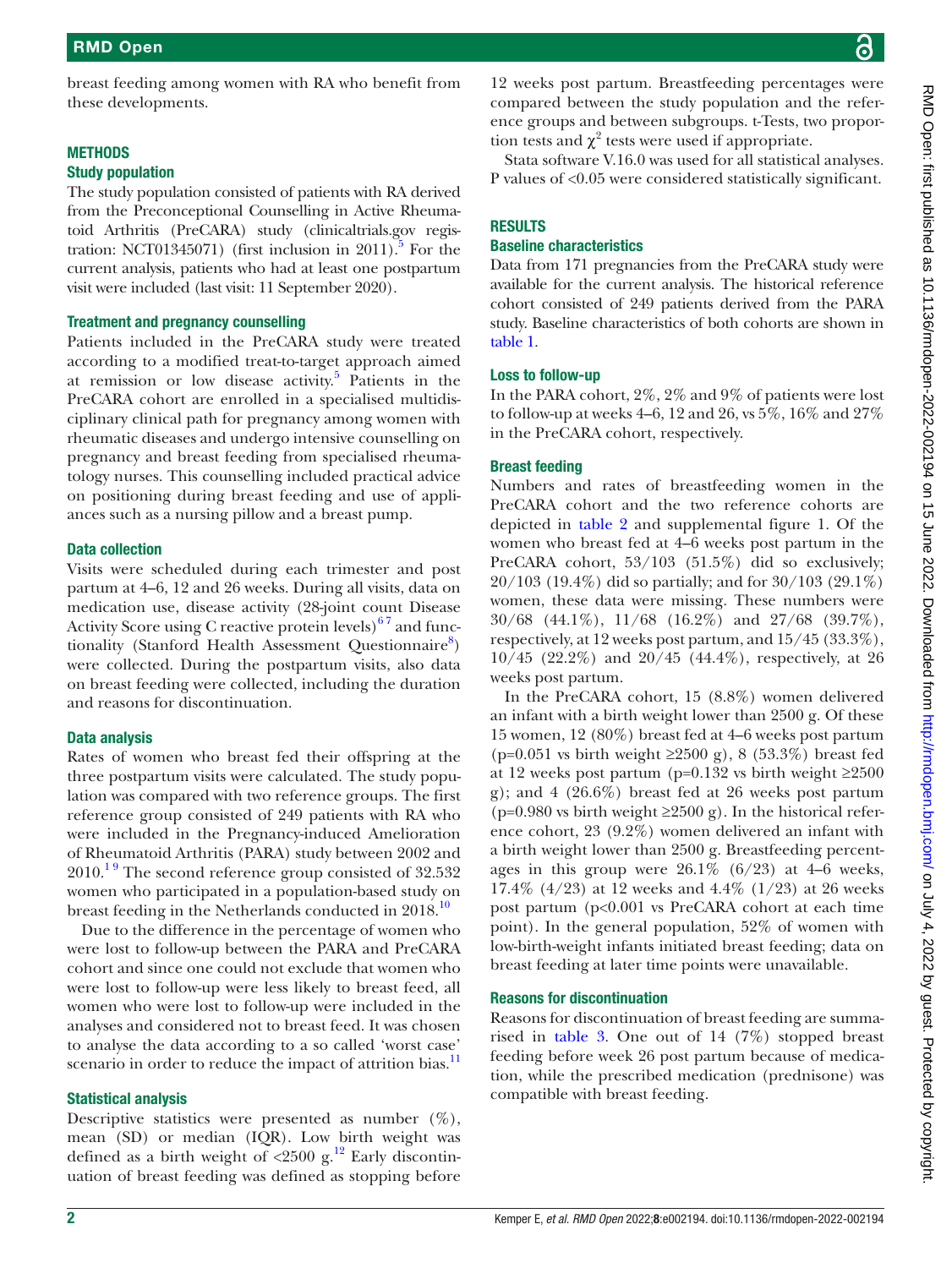breast feeding among women with RA who benefit from these developments.

#### **METHODS**

#### Study population

The study population consisted of patients with RA derived from the Preconceptional Counselling in Active Rheumatoid Arthritis (PreCARA) study (clinicaltrials.gov registration: NCT01345071) (first inclusion in 2011).<sup>5</sup> For the current analysis, patients who had at least one postpartum visit were included (last visit: 11 September 2020).

#### Treatment and pregnancy counselling

Patients included in the PreCARA study were treated according to a modified treat-to-target approach aimed at remission or low disease activity. [5](#page-4-4) Patients in the PreCARA cohort are enrolled in a specialised multidisciplinary clinical path for pregnancy among women with rheumatic diseases and undergo intensive counselling on pregnancy and breast feeding from specialised rheumatology nurses. This counselling included practical advice on positioning during breast feeding and use of appliances such as a nursing pillow and a breast pump.

#### Data collection

Visits were scheduled during each trimester and post partum at 4–6, 12 and 26 weeks. During all visits, data on medication use, disease activity (28-joint count Disease Activity Score using C reactive protein levels) $^{67}$  and func-tionality (Stanford Health Assessment Questionnaire[8](#page-4-6)) were collected. During the postpartum visits, also data on breast feeding were collected, including the duration and reasons for discontinuation.

## Data analysis

Rates of women who breast fed their offspring at the three postpartum visits were calculated. The study population was compared with two reference groups. The first reference group consisted of 249 patients with RA who were included in the Pregnancy-induced Amelioration of Rheumatoid Arthritis (PARA) study between 2002 and 2010.<sup>19</sup> The second reference group consisted of 32.532 women who participated in a population-based study on breast feeding in the Netherlands conducted in 2018.<sup>[10](#page-4-7)</sup>

Due to the difference in the percentage of women who were lost to follow-up between the PARA and PreCARA cohort and since one could not exclude that women who were lost to follow-up were less likely to breast feed, all women who were lost to follow-up were included in the analyses and considered not to breast feed. It was chosen to analyse the data according to a so called 'worst case' scenario in order to reduce the impact of attrition bias.<sup>11</sup>

## Statistical analysis

Descriptive statistics were presented as number  $(\%)$ , mean (SD) or median (IQR). Low birth weight was defined as a birth weight of  $\langle 2500 \text{ g.}^{12} \rangle$  Early discontinuation of breast feeding was defined as stopping before

12 weeks post partum. Breastfeeding percentages were compared between the study population and the reference groups and between subgroups. t-Tests, two proportion tests and  $\chi^2$  tests were used if appropriate.

Stata software V.16.0 was used for all statistical analyses. P values of <0.05 were considered statistically significant.

## **RESULTS**

## Baseline characteristics

Data from 171 pregnancies from the PreCARA study were available for the current analysis. The historical reference cohort consisted of 249 patients derived from the PARA study. Baseline characteristics of both cohorts are shown in [table](#page-2-0) 1.

#### Loss to follow-up

In the PARA cohort, 2%, 2% and 9% of patients were lost to follow-up at weeks 4–6, 12 and 26, vs  $5\%$ ,  $16\%$  and  $27\%$ in the PreCARA cohort, respectively.

## Breast feeding

Numbers and rates of breastfeeding women in the PreCARA cohort and the two reference cohorts are depicted in [table](#page-2-1) 2 and supplemental figure 1. Of the women who breast fed at 4–6 weeks post partum in the PreCARA cohort, 53/103 (51.5%) did so exclusively; 20/103 (19.4%) did so partially; and for 30/103 (29.1%) women, these data were missing. These numbers were 30/68 (44.1%), 11/68 (16.2%) and 27/68 (39.7%), respectively, at 12 weeks post partum, and 15/45 (33.3%), 10/45 (22.2%) and 20/45 (44.4%), respectively, at 26 weeks post partum.

In the PreCARA cohort, 15 (8.8%) women delivered an infant with a birth weight lower than 2500 g. Of these 15 women, 12 (80%) breast fed at 4–6 weeks post partum (p=0.051 vs birth weight ≥2500 g), 8 (53.3%) breast fed at 12 weeks post partum (p=0.132 vs birth weight  $\geq$ 2500 g); and 4 (26.6%) breast fed at 26 weeks post partum (p=0.980 vs birth weight  $\geq$ 2500 g). In the historical reference cohort, 23 (9.2%) women delivered an infant with a birth weight lower than 2500 g. Breastfeeding percentages in this group were  $26.1\%$  (6/23) at 4–6 weeks, 17.4% (4/23) at 12 weeks and 4.4% (1/23) at 26 weeks post partum (p<0.001 vs PreCARA cohort at each time point). In the general population, 52% of women with low-birth-weight infants initiated breast feeding; data on breast feeding at later time points were unavailable.

#### Reasons for discontinuation

Reasons for discontinuation of breast feeding are summarised in [table](#page-3-0) 3. One out of 14 (7%) stopped breast feeding before week 26 post partum because of medication, while the prescribed medication (prednisone) was compatible with breast feeding.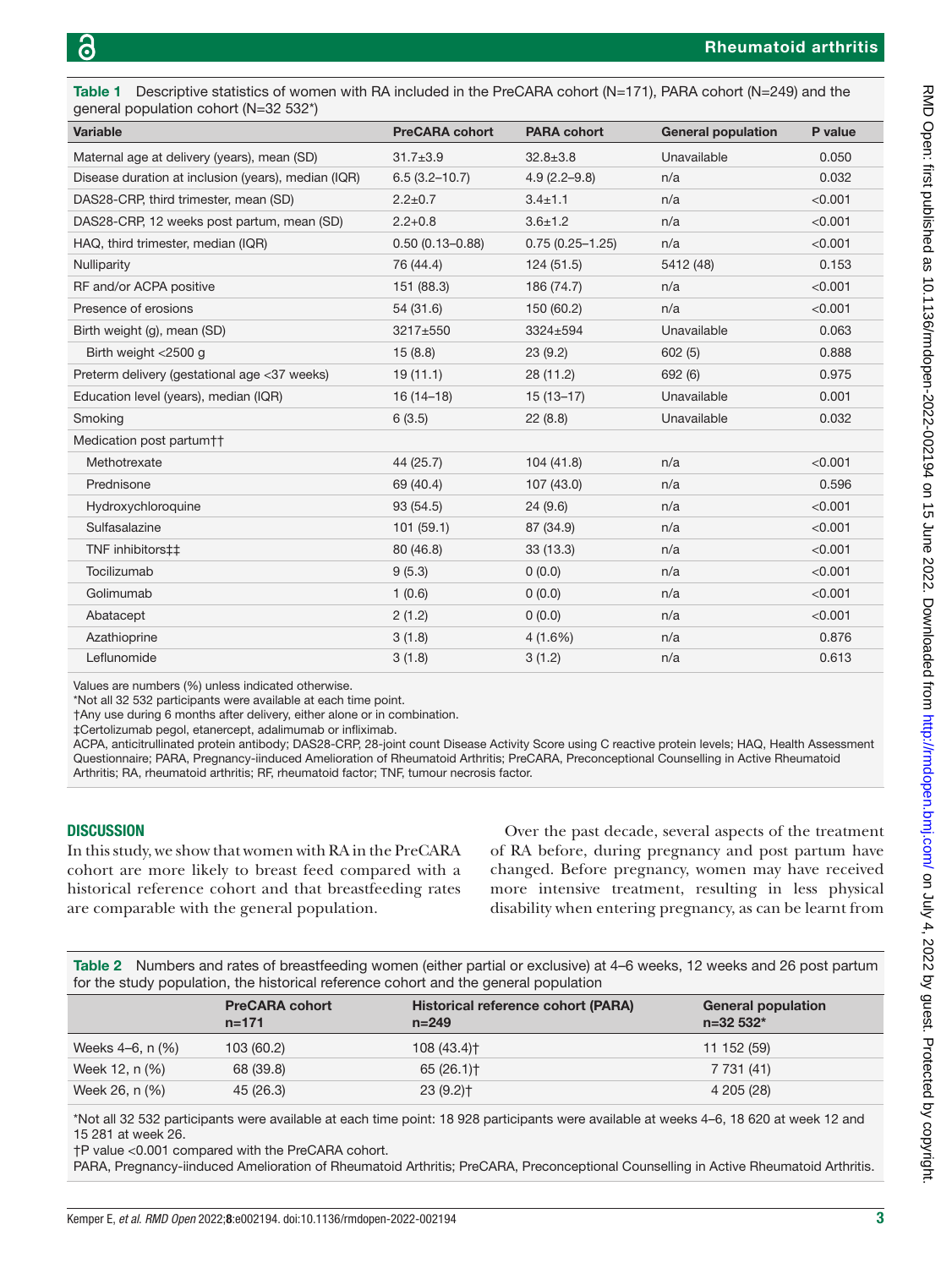<span id="page-2-0"></span>

| general population cohort (N=32 532*)<br>Variable   | <b>PreCARA cohort</b> | <b>PARA cohort</b>  | <b>General population</b> | P value |  |
|-----------------------------------------------------|-----------------------|---------------------|---------------------------|---------|--|
| Maternal age at delivery (years), mean (SD)         | $31.7 \pm 3.9$        | $32.8 \pm 3.8$      | Unavailable               | 0.050   |  |
| Disease duration at inclusion (years), median (IQR) | $6.5(3.2 - 10.7)$     | $4.9(2.2 - 9.8)$    | n/a                       | 0.032   |  |
| DAS28-CRP, third trimester, mean (SD)               | $2.2 \pm 0.7$         | $3.4 \pm 1.1$       | n/a                       | < 0.001 |  |
| DAS28-CRP, 12 weeks post partum, mean (SD)          | $2.2 + 0.8$           | $3.6 \pm 1.2$       | n/a                       | < 0.001 |  |
| HAQ, third trimester, median (IQR)                  | $0.50(0.13 - 0.88)$   | $0.75(0.25 - 1.25)$ | n/a                       | < 0.001 |  |
| Nulliparity                                         | 76 (44.4)             | 124(51.5)           | 5412 (48)                 | 0.153   |  |
| RF and/or ACPA positive                             | 151 (88.3)            | 186 (74.7)          | n/a                       | < 0.001 |  |
| Presence of erosions                                | 54 (31.6)             | 150 (60.2)          | n/a                       | < 0.001 |  |
| Birth weight (g), mean (SD)                         | 3217±550              | 3324±594            | Unavailable               | 0.063   |  |
| Birth weight <2500 g                                | 15(8.8)               | 23(9.2)             | 602(5)                    | 0.888   |  |
| Preterm delivery (gestational age <37 weeks)        | 19(11.1)              | 28 (11.2)           | 692 (6)                   | 0.975   |  |
| Education level (years), median (IQR)               | $16(14-18)$           | $15(13-17)$         | Unavailable               | 0.001   |  |
| Smoking                                             | 6(3.5)                | 22(8.8)             | Unavailable               | 0.032   |  |
| Medication post partum††                            |                       |                     |                           |         |  |
| Methotrexate                                        | 44 (25.7)             | 104(41.8)           | n/a                       | < 0.001 |  |
| Prednisone                                          | 69 (40.4)             | 107 (43.0)          | n/a                       | 0.596   |  |
| Hydroxychloroquine                                  | 93 (54.5)             | 24(9.6)             | n/a                       | < 0.001 |  |
| Sulfasalazine                                       | 101(59.1)             | 87 (34.9)           | n/a                       | < 0.001 |  |
| TNF inhibitors##                                    | 80 (46.8)             | 33(13.3)            | n/a                       | < 0.001 |  |
| Tocilizumab                                         | 9(5.3)                | 0(0.0)              | n/a                       | < 0.001 |  |
| Golimumab                                           | 1(0.6)                | (0.0)               | n/a                       | < 0.001 |  |
| Abatacept                                           | 2(1.2)                | 0(0.0)              | n/a                       | < 0.001 |  |
| Azathioprine                                        | 3(1.8)                | 4(1.6%)             | n/a                       | 0.876   |  |
| Leflunomide                                         | 3(1.8)                | 3(1.2)              | n/a                       | 0.613   |  |

Values are numbers (%) unless indicated otherwise.

\*Not all 32 532 participants were available at each time point.

†Any use during 6 months after delivery, either alone or in combination.

‡Certolizumab pegol, etanercept, adalimumab or infliximab.

ACPA, anticitrullinated protein antibody; DAS28-CRP, 28-joint count Disease Activity Score using C reactive protein levels; HAQ, Health Assessment Questionnaire; PARA, Pregnancy-iinduced Amelioration of Rheumatoid Arthritis; PreCARA, Preconceptional Counselling in Active Rheumatoid Arthritis; RA, rheumatoid arthritis; RF, rheumatoid factor; TNF, tumour necrosis factor.

#### **DISCUSSION**

In this study, we show that women with RA in the PreCARA cohort are more likely to breast feed compared with a historical reference cohort and that breastfeeding rates are comparable with the general population.

Over the past decade, several aspects of the treatment of RA before, during pregnancy and post partum have changed. Before pregnancy, women may have received more intensive treatment, resulting in less physical disability when entering pregnancy, as can be learnt from

<span id="page-2-1"></span>Table 2 Numbers and rates of breastfeeding women (either partial or exclusive) at 4–6 weeks, 12 weeks and 26 post partum for the study population, the historical reference cohort and the general population

|                  | <b>PreCARA cohort</b><br>$n = 171$ | Historical reference cohort (PARA)<br>$n = 249$ | <b>General population</b><br>$n = 32.532*$ |
|------------------|------------------------------------|-------------------------------------------------|--------------------------------------------|
| Weeks 4–6, n (%) | 103 (60.2)                         | 108 (43.4) <sup>+</sup>                         | 11 152 (59)                                |
| Week 12, n (%)   | 68 (39.8)                          | 65(26.1)                                        | 7 731 (41)                                 |
| Week 26, n (%)   | 45 (26.3)                          | $23(9.2)$ <sup>+</sup>                          | 4 205 (28)                                 |

\*Not all 32 532 participants were available at each time point: 18 928 participants were available at weeks 4–6, 18 620 at week 12 and 15 281 at week 26.

†P value <0.001 compared with the PreCARA cohort.

PARA, Pregnancy-iinduced Amelioration of Rheumatoid Arthritis; PreCARA, Preconceptional Counselling in Active Rheumatoid Arthritis.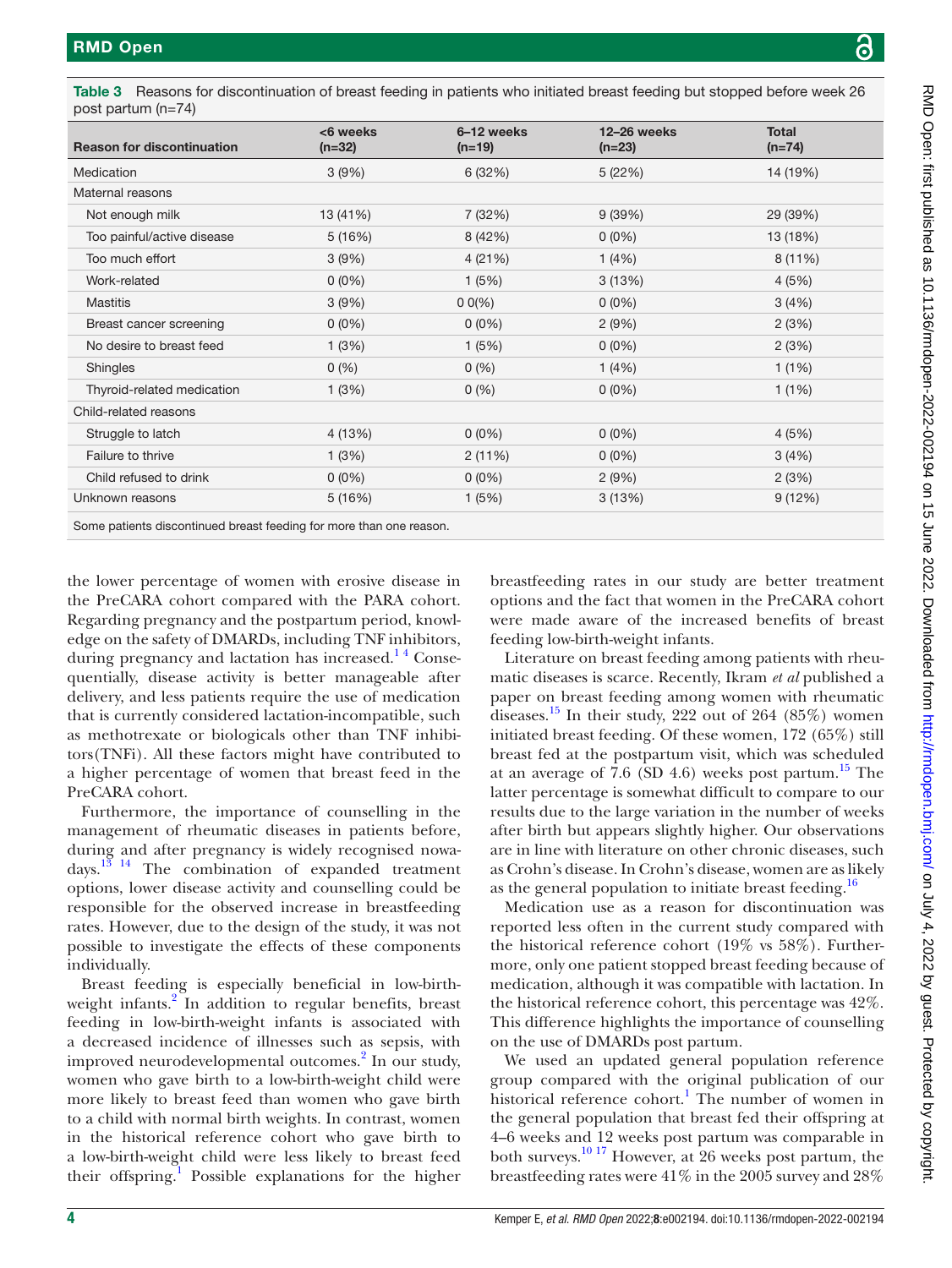| <b>Reason for discontinuation</b>                                   | <6 weeks<br>$(n=32)$ | 6-12 weeks<br>$(n=19)$ | 12-26 weeks<br>$(n=23)$ | <b>Total</b><br>$(n=74)$ |
|---------------------------------------------------------------------|----------------------|------------------------|-------------------------|--------------------------|
| Medication                                                          | 3(9%)                | 6(32%)                 | 5(22%)                  | 14 (19%)                 |
| Maternal reasons                                                    |                      |                        |                         |                          |
| Not enough milk                                                     | 13 (41%)             | 7 (32%)                | 9(39%)                  | 29 (39%)                 |
| Too painful/active disease                                          | 5(16%)               | 8 (42%)                | $0(0\%)$                | 13 (18%)                 |
| Too much effort                                                     | 3(9%)                | 4(21%)                 | 1(4%)                   | 8 (11%)                  |
| Work-related                                                        | $0(0\%)$             | 1(5%)                  | 3(13%)                  | 4(5%)                    |
| <b>Mastitis</b>                                                     | 3(9%)                | $0 0\%$                | $0(0\%)$                | 3(4%)                    |
| Breast cancer screening                                             | $0(0\%)$             | $0(0\%)$               | 2(9%)                   | 2(3%)                    |
| No desire to breast feed                                            | 1(3%)                | 1(5%)                  | $0(0\%)$                | 2(3%)                    |
| Shingles                                                            | 0(%)                 | 0(%)                   | 1(4%)                   | 1(1%)                    |
| Thyroid-related medication                                          | 1(3%)                | 0(%)                   | $0(0\%)$                | 1(1%)                    |
| Child-related reasons                                               |                      |                        |                         |                          |
| Struggle to latch                                                   | 4 (13%)              | $0(0\%)$               | $0(0\%)$                | 4(5%)                    |
| Failure to thrive                                                   | 1(3%)                | 2(11%)                 | $0(0\%)$                | 3(4%)                    |
| Child refused to drink                                              | $0(0\%)$             | $0(0\%)$               | 2(9%)                   | 2(3%)                    |
| Unknown reasons                                                     | 5(16%)               | 1(5%)                  | 3(13%)                  | 9(12%)                   |
| Some patients discontinued breast feeding for more than one reason. |                      |                        |                         |                          |
|                                                                     |                      |                        |                         |                          |

<span id="page-3-0"></span>Table 3 Reasons for discontinuation of breast feeding in patients who initiated breast feeding but stopped before week 26 post partum (n=74)

the lower percentage of women with erosive disease in the PreCARA cohort compared with the PARA cohort. Regarding pregnancy and the postpartum period, knowledge on the safety of DMARDs, including TNF inhibitors, during pregnancy and lactation has increased.<sup>14</sup> Consequentially, disease activity is better manageable after delivery, and less patients require the use of medication that is currently considered lactation-incompatible, such as methotrexate or biologicals other than TNF inhibitors(TNFi). All these factors might have contributed to a higher percentage of women that breast feed in the PreCARA cohort.

Furthermore, the importance of counselling in the management of rheumatic diseases in patients before, during and after pregnancy is widely recognised nowadays[.13 14](#page-4-10) The combination of expanded treatment options, lower disease activity and counselling could be responsible for the observed increase in breastfeeding rates. However, due to the design of the study, it was not possible to investigate the effects of these components individually.

Breast feeding is especially beneficial in low-birth-weight infants.<sup>[2](#page-4-1)</sup> In addition to regular benefits, breast feeding in low-birth-weight infants is associated with a decreased incidence of illnesses such as sepsis, with improved neurodevelopmental outcomes.<sup>[2](#page-4-1)</sup> In our study, women who gave birth to a low-birth-weight child were more likely to breast feed than women who gave birth to a child with normal birth weights. In contrast, women in the historical reference cohort who gave birth to a low-birth-weight child were less likely to breast feed their offspring.<sup>[1](#page-4-0)</sup> Possible explanations for the higher

breastfeeding rates in our study are better treatment options and the fact that women in the PreCARA cohort were made aware of the increased benefits of breast feeding low-birth-weight infants.

Literature on breast feeding among patients with rheumatic diseases is scarce. Recently, Ikram *et al* published a paper on breast feeding among women with rheumatic diseases.<sup>15</sup> In their study, 222 out of 264  $(85\%)$  women initiated breast feeding. Of these women, 172 (65%) still breast fed at the postpartum visit, which was scheduled at an average of 7.6 (SD 4.6) weeks post partum.<sup>15</sup> The latter percentage is somewhat difficult to compare to our results due to the large variation in the number of weeks after birth but appears slightly higher. Our observations are in line with literature on other chronic diseases, such as Crohn's disease. In Crohn's disease, women are as likely as the general population to initiate breast feeding.<sup>[16](#page-4-12)</sup>

Medication use as a reason for discontinuation was reported less often in the current study compared with the historical reference cohort (19% vs 58%). Furthermore, only one patient stopped breast feeding because of medication, although it was compatible with lactation. In the historical reference cohort, this percentage was 42%. This difference highlights the importance of counselling on the use of DMARDs post partum.

We used an updated general population reference group compared with the original publication of our historical reference cohort.<sup>1</sup> The number of women in the general population that breast fed their offspring at 4–6 weeks and 12 weeks post partum was comparable in both surveys.[10 17](#page-4-7) However, at 26 weeks post partum, the breastfeeding rates were 41% in the 2005 survey and 28%